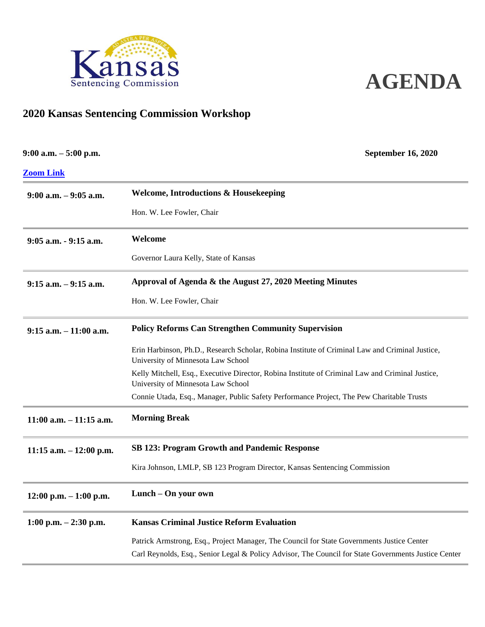



## **2020 Kansas Sentencing Commission Workshop**

| $9:00$ a.m. $-5:00$ p.m.   | <b>September 16, 2020</b>                                                                                                              |
|----------------------------|----------------------------------------------------------------------------------------------------------------------------------------|
| <b>Zoom Link</b>           |                                                                                                                                        |
| $9:00$ a.m. $-9:05$ a.m.   | <b>Welcome, Introductions &amp; Housekeeping</b>                                                                                       |
|                            | Hon. W. Lee Fowler, Chair                                                                                                              |
| 9:05 a.m. - 9:15 a.m.      | Welcome                                                                                                                                |
|                            | Governor Laura Kelly, State of Kansas                                                                                                  |
| $9:15$ a.m. $-9:15$ a.m.   | Approval of Agenda & the August 27, 2020 Meeting Minutes                                                                               |
|                            | Hon. W. Lee Fowler, Chair                                                                                                              |
| $9:15$ a.m. $-11:00$ a.m.  | <b>Policy Reforms Can Strengthen Community Supervision</b>                                                                             |
|                            | Erin Harbinson, Ph.D., Research Scholar, Robina Institute of Criminal Law and Criminal Justice,<br>University of Minnesota Law School  |
|                            | Kelly Mitchell, Esq., Executive Director, Robina Institute of Criminal Law and Criminal Justice,<br>University of Minnesota Law School |
|                            | Connie Utada, Esq., Manager, Public Safety Performance Project, The Pew Charitable Trusts                                              |
| $11:00$ a.m. $-11:15$ a.m. | <b>Morning Break</b>                                                                                                                   |
| 11:15 a.m. $-12:00$ p.m.   | <b>SB 123: Program Growth and Pandemic Response</b>                                                                                    |
|                            | Kira Johnson, LMLP, SB 123 Program Director, Kansas Sentencing Commission                                                              |
| $12:00$ p.m. $-1:00$ p.m.  | Lunch – On your own                                                                                                                    |
| 1:00 p.m. $-2:30$ p.m.     | <b>Kansas Criminal Justice Reform Evaluation</b>                                                                                       |
|                            | Patrick Armstrong, Esq., Project Manager, The Council for State Governments Justice Center                                             |
|                            | Carl Reynolds, Esq., Senior Legal & Policy Advisor, The Council for State Governments Justice Center                                   |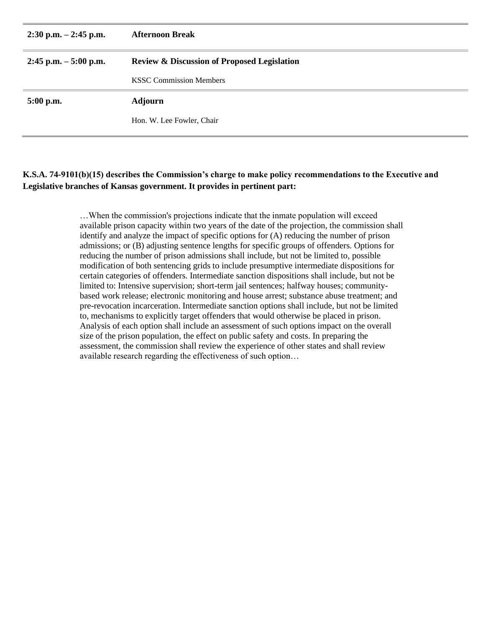| $2:30$ p.m. $-2:45$ p.m. | <b>Afternoon Break</b>                                 |
|--------------------------|--------------------------------------------------------|
| $2:45$ p.m. $-5:00$ p.m. | <b>Review &amp; Discussion of Proposed Legislation</b> |
|                          | <b>KSSC Commission Members</b>                         |
| 5:00 p.m.                | <b>Adjourn</b>                                         |
|                          | Hon. W. Lee Fowler, Chair                              |

## **K.S.A. 74-9101(b)(15) describes the Commission's charge to make policy recommendations to the Executive and Legislative branches of Kansas government. It provides in pertinent part:**

…When the commission's projections indicate that the inmate population will exceed available prison capacity within two years of the date of the projection, the commission shall identify and analyze the impact of specific options for (A) reducing the number of prison admissions; or (B) adjusting sentence lengths for specific groups of offenders. Options for reducing the number of prison admissions shall include, but not be limited to, possible modification of both sentencing grids to include presumptive intermediate dispositions for certain categories of offenders. Intermediate sanction dispositions shall include, but not be limited to: Intensive supervision; short-term jail sentences; halfway houses; communitybased work release; electronic monitoring and house arrest; substance abuse treatment; and pre-revocation incarceration. Intermediate sanction options shall include, but not be limited to, mechanisms to explicitly target offenders that would otherwise be placed in prison. Analysis of each option shall include an assessment of such options impact on the overall size of the prison population, the effect on public safety and costs. In preparing the assessment, the commission shall review the experience of other states and shall review available research regarding the effectiveness of such option…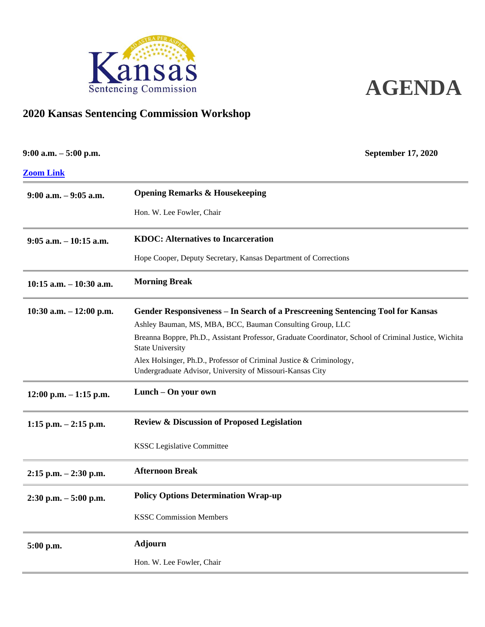



## **2020 Kansas Sentencing Commission Workshop**

| $9:00$ a.m. $-5:00$ p.m.   | <b>September 17, 2020</b>                                                                                                        |
|----------------------------|----------------------------------------------------------------------------------------------------------------------------------|
| <b>Zoom Link</b>           |                                                                                                                                  |
| $9:00$ a.m. $-9:05$ a.m.   | <b>Opening Remarks &amp; Housekeeping</b>                                                                                        |
|                            | Hon. W. Lee Fowler, Chair                                                                                                        |
| $9:05$ a.m. $-10:15$ a.m.  | <b>KDOC: Alternatives to Incarceration</b>                                                                                       |
|                            | Hope Cooper, Deputy Secretary, Kansas Department of Corrections                                                                  |
| $10:15$ a.m. $-10:30$ a.m. | <b>Morning Break</b>                                                                                                             |
| 10:30 a.m. $-12:00$ p.m.   | Gender Responsiveness – In Search of a Prescreening Sentencing Tool for Kansas                                                   |
|                            | Ashley Bauman, MS, MBA, BCC, Bauman Consulting Group, LLC                                                                        |
|                            | Breanna Boppre, Ph.D., Assistant Professor, Graduate Coordinator, School of Criminal Justice, Wichita<br><b>State University</b> |
|                            | Alex Holsinger, Ph.D., Professor of Criminal Justice & Criminology,<br>Undergraduate Advisor, University of Missouri-Kansas City |
| $12:00$ p.m. $-1:15$ p.m.  | Lunch - On your own                                                                                                              |
| $1:15$ p.m. $-2:15$ p.m.   | <b>Review &amp; Discussion of Proposed Legislation</b>                                                                           |
|                            | <b>KSSC Legislative Committee</b>                                                                                                |
| $2:15$ p.m. $-2:30$ p.m.   | <b>Afternoon Break</b>                                                                                                           |
| $2:30$ p.m. $-5:00$ p.m.   | <b>Policy Options Determination Wrap-up</b>                                                                                      |
|                            | <b>KSSC Commission Members</b>                                                                                                   |
| 5:00 p.m.                  | <b>Adjourn</b>                                                                                                                   |
|                            | Hon. W. Lee Fowler, Chair                                                                                                        |